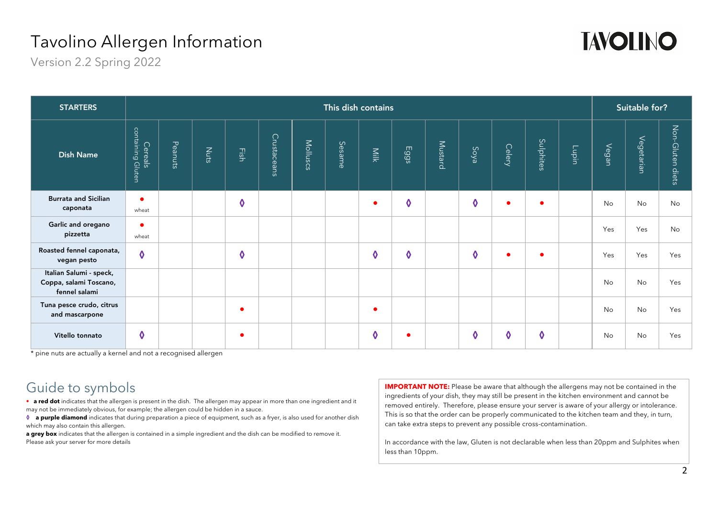

Version 2.2 Spring 2022

| <b>STARTERS</b>                                                    | This dish contains           |         |      |                         |             |          |        |      |                         |         |      |           |           |       | Suitable for? |            |                     |  |
|--------------------------------------------------------------------|------------------------------|---------|------|-------------------------|-------------|----------|--------|------|-------------------------|---------|------|-----------|-----------|-------|---------------|------------|---------------------|--|
| <b>Dish Name</b>                                                   | containing Gluten<br>Cereals | Peanuts | Nuts | Fish                    | Crustaceans | Molluscs | Sesame | Milk | Eggs                    | Mustard | Soya | Celery    | Sulphites | Lupin | Vegan         | Vegetarian | Non-Gluten<br>diets |  |
| <b>Burrata and Sicilian</b><br>caponata                            | $\bullet$<br>wheat           |         |      | $\boldsymbol{\lozenge}$ |             |          |        |      | $\boldsymbol{\lozenge}$ |         | ♦    | $\bullet$ | $\bullet$ |       | No            | No         | No                  |  |
| Garlic and oregano<br>pizzetta                                     | $\bullet$<br>wheat           |         |      |                         |             |          |        |      |                         |         |      |           |           |       | Yes           | Yes        | No                  |  |
| Roasted fennel caponata,<br>vegan pesto                            | $\ddot{\mathbf{0}}$          |         |      | ♦                       |             |          |        | 0    | ♦                       |         | ♦    | $\bullet$ | $\bullet$ |       | Yes           | Yes        | Yes                 |  |
| Italian Salumi - speck,<br>Coppa, salami Toscano,<br>fennel salami |                              |         |      |                         |             |          |        |      |                         |         |      |           |           |       | No            | No         | Yes                 |  |
| Tuna pesce crudo, citrus<br>and mascarpone                         |                              |         |      | $\bullet$               |             |          |        |      |                         |         |      |           |           |       | No            | No         | Yes                 |  |
| Vitello tonnato                                                    | $\boldsymbol{\delta}$        |         |      |                         |             |          |        | 0    |                         |         | ♦    | ♦         | ♦         |       | No            | No         | Yes                 |  |

\* pine nuts are actually a kernel and not a recognised allergen

### Guide to symbols

• **a red dot** indicates that the allergen is present in the dish. The allergen may appear in more than one ingredient and it may not be immediately obvious, for example; the allergen could be hidden in a sauce.

**a purple diamond** indicates that during preparation a piece of equipment, such as a fryer, is also used for another dish which may also contain this allergen.

**a grey box** indicates that the allergen is contained in a simple ingredient and the dish can be modified to remove it. Please ask your server for more details

**IMPORTANT NOTE:** Please be aware that although the allergens may not be contained in the ingredients of your dish, they may still be present in the kitchen environment and cannot be removed entirely. Therefore, please ensure your server is aware of your allergy or intolerance. This is so that the order can be properly communicated to the kitchen team and they, in turn, can take extra steps to prevent any possible cross-contamination.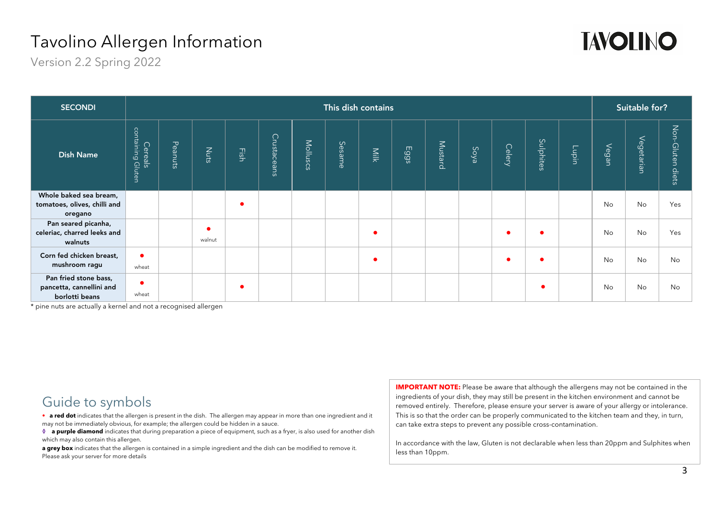

Version 2.2 Spring 2022

| <b>SECONDI</b>                                                      | This dish contains              |         |        |      |             |          |        |      |      |         |      |               |           |       | Suitable for? |            |                     |  |
|---------------------------------------------------------------------|---------------------------------|---------|--------|------|-------------|----------|--------|------|------|---------|------|---------------|-----------|-------|---------------|------------|---------------------|--|
| <b>Dish Name</b>                                                    | containing<br>Cereals<br>Gluten | Peanuts | Nuts   | Fish | Crustaceans | Molluscs | Sesame | Milk | Eggs | Mustard | Soya | <b>Celery</b> | Sulphites | Lupin | Vegan         | Vegetarian | Non-Gluten<br>diets |  |
| Whole baked sea bream,                                              |                                 |         |        |      |             |          |        |      |      |         |      |               |           |       |               |            |                     |  |
| tomatoes, olives, chilli and<br>oregano                             |                                 |         |        |      |             |          |        |      |      |         |      |               |           |       | No            | No         | Yes                 |  |
| Pan seared picanha,<br>celeriac, charred leeks and<br>walnuts       |                                 |         | walnut |      |             |          |        |      |      |         |      |               |           |       | <b>No</b>     | <b>No</b>  | Yes                 |  |
| Corn fed chicken breast,<br>mushroom ragu                           | $\bullet$<br>wheat              |         |        |      |             |          |        |      |      |         |      |               |           |       | No            | <b>No</b>  | <b>No</b>           |  |
| Pan fried stone bass,<br>pancetta, cannellini and<br>borlotti beans | wheat                           |         |        |      |             |          |        |      |      |         |      |               |           |       | No            | <b>No</b>  | <b>No</b>           |  |

\* pine nuts are actually a kernel and not a recognised allergen

Guide to symbols

• **a red dot** indicates that the allergen is present in the dish. The allergen may appear in more than one ingredient and it may not be immediately obvious, for example; the allergen could be hidden in a sauce.

**1 a purple diamond** indicates that during preparation a piece of equipment, such as a fryer, is also used for another dish which may also contain this allergen.

**a grey box** indicates that the allergen is contained in a simple ingredient and the dish can be modified to remove it. Please ask your server for more details

**IMPORTANT NOTE:** Please be aware that although the allergens may not be contained in the ingredients of your dish, they may still be present in the kitchen environment and cannot be removed entirely. Therefore, please ensure your server is aware of your allergy or intolerance. This is so that the order can be properly communicated to the kitchen team and they, in turn, can take extra steps to prevent any possible cross-contamination.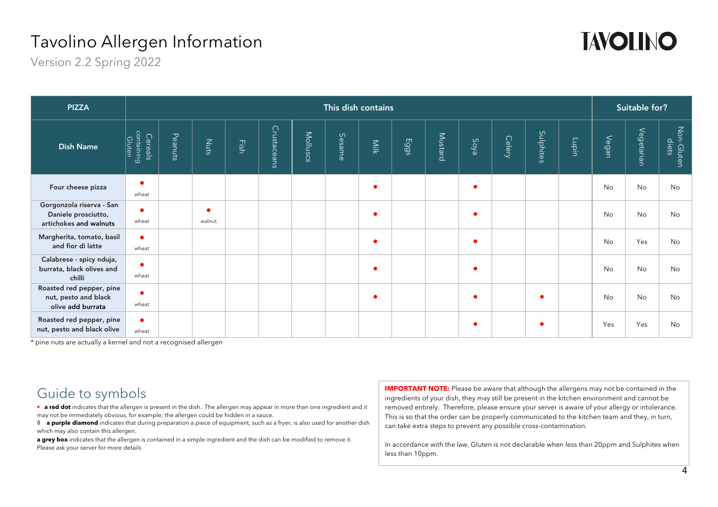

Version 2.2 Spring 2022

| <b>PIZZA</b>                                                              | This dish contains              |         |                     |      |             |          |        |      |      |         |           |        |           |       | Suitable for? |            |                     |  |
|---------------------------------------------------------------------------|---------------------------------|---------|---------------------|------|-------------|----------|--------|------|------|---------|-----------|--------|-----------|-------|---------------|------------|---------------------|--|
| <b>Dish Name</b>                                                          | containing<br>Gluten<br>Cereals | Peanuts | Nuts                | Fish | Crustaceans | Molluscs | Sesame | Milk | Eggs | Mustard | Soya      | Celery | Sulphites | Lupin | Vegan         | Vegetarian | Non-Gluten<br>diets |  |
| Four cheese pizza                                                         | ٠<br>wheat                      |         |                     |      |             |          |        |      |      |         | $\bullet$ |        |           |       | No            | No         | No                  |  |
| Gorgonzola riserva - San<br>Daniele prosciutto,<br>artichokes and walnuts | ٠<br>wheat                      |         | $\bullet$<br>walnut |      |             |          |        |      |      |         | $\bullet$ |        |           |       | No            | No         | No                  |  |
| Margherita, tomato, basil<br>and fior di latte                            | $\bullet$<br>wheat              |         |                     |      |             |          |        |      |      |         | $\bullet$ |        |           |       | No            | Yes        | No                  |  |
| Calabrese - spicy nduja,<br>burrata, black olives and<br>chilli           | $\bullet$<br>wheat              |         |                     |      |             |          |        |      |      |         | $\bullet$ |        |           |       | No            | No         | No                  |  |
| Roasted red pepper, pine<br>nut, pesto and black<br>olive add burrata     | $\bullet$<br>wheat              |         |                     |      |             |          |        |      |      |         | $\bullet$ |        |           |       | <b>No</b>     | <b>No</b>  | <b>No</b>           |  |
| Roasted red pepper, pine<br>nut, pesto and black olive                    | $\bullet$<br>wheat              |         |                     |      |             |          |        |      |      |         | ٠         |        |           |       | Yes           | Yes        | No                  |  |

\* pine nuts are actually a kernel and not a recognised allergen

### Guide to symbols

• **a red dot** indicates that the allergen is present in the dish. The allergen may appear in more than one ingredient and it may not be immediately obvious, for example; the allergen could be hidden in a sauce.

**a purple diamond** indicates that during preparation a piece of equipment, such as a fryer, is also used for another dish which may also contain this allergen.

**a grey box** indicates that the allergen is contained in a simple ingredient and the dish can be modified to remove it. Please ask your server for more details

**IMPORTANT NOTE:** Please be aware that although the allergens may not be contained in the ingredients of your dish, they may still be present in the kitchen environment and cannot be removed entirely. Therefore, please ensure your server is aware of your allergy or intolerance. This is so that the order can be properly communicated to the kitchen team and they, in turn, can take extra steps to prevent any possible cross-contamination.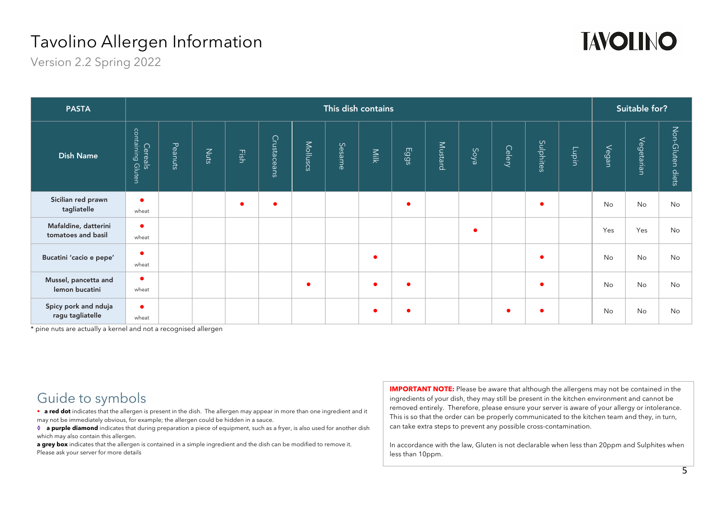

Version 2.2 Spring 2022

| <b>PASTA</b>                               | This dish contains           |         |             |      |             |           |        |      |      |         |           |           |           |               | Suitable for? |            |                     |  |
|--------------------------------------------|------------------------------|---------|-------------|------|-------------|-----------|--------|------|------|---------|-----------|-----------|-----------|---------------|---------------|------------|---------------------|--|
| <b>Dish Name</b>                           | containing Gluten<br>Cereals | Peanuts | <b>Nuts</b> | Fish | Crustaceans | Molluscs  | Sesame | Milk | Eggs | Mustard | Soya      | Celery    | Sulphites | $\frac{1}{2}$ | Vegan         | Vegetarian | Non-Gluten<br>diets |  |
| Sicilian red prawn<br>tagliatelle          | $\bullet$<br>wheat           |         |             |      | $\bullet$   |           |        |      |      |         |           |           | c         |               | No            | No         | No                  |  |
| Mafaldine, datterini<br>tomatoes and basil | ٠<br>wheat                   |         |             |      |             |           |        |      |      |         | $\bullet$ |           |           |               | Yes           | Yes        | <b>No</b>           |  |
| Bucatini 'cacio e pepe'                    | $\bullet$<br>wheat           |         |             |      |             |           |        |      |      |         |           |           |           |               | No            | No         | No                  |  |
| Mussel, pancetta and<br>lemon bucatini     | $\bullet$<br>wheat           |         |             |      |             | $\bullet$ |        |      | - 6  |         |           |           |           |               | No            | No         | No                  |  |
| Spicy pork and nduja<br>ragu tagliatelle   | $\bullet$<br>wheat           |         |             |      |             |           |        |      |      |         |           | $\bullet$ |           |               | No            | No         | No                  |  |

\* pine nuts are actually a kernel and not a recognised allergen

Guide to symbols

• **a red dot** indicates that the allergen is present in the dish. The allergen may appear in more than one ingredient and it may not be immediately obvious, for example; the allergen could be hidden in a sauce.

**! a purple diamond** indicates that during preparation a piece of equipment, such as a fryer, is also used for another dish which may also contain this allergen.

**a grey box** indicates that the allergen is contained in a simple ingredient and the dish can be modified to remove it. Please ask your server for more details

**IMPORTANT NOTE:** Please be aware that although the allergens may not be contained in the ingredients of your dish, they may still be present in the kitchen environment and cannot be removed entirely. Therefore, please ensure your server is aware of your allergy or intolerance. This is so that the order can be properly communicated to the kitchen team and they, in turn, can take extra steps to prevent any possible cross-contamination.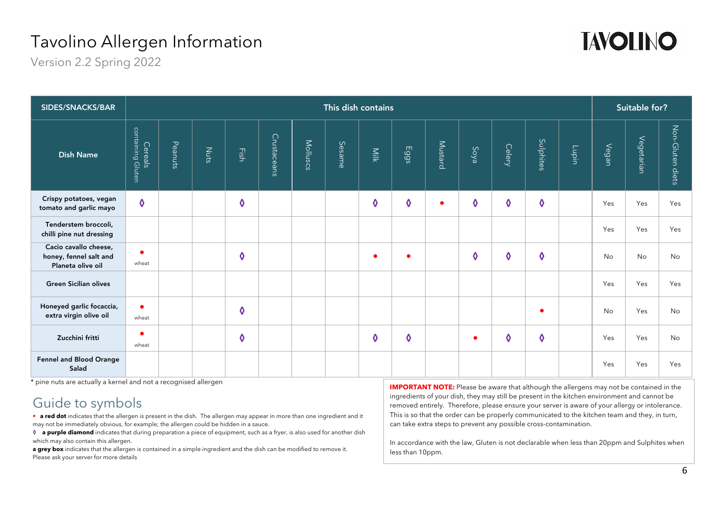

Version 2.2 Spring 2022

| SIDES/SNACKS/BAR                                                     | This dish contains           |         |      |                       |             |          |        |               |                         |           |                     |                                  |                         |                            | Suitable for? |            |                     |  |
|----------------------------------------------------------------------|------------------------------|---------|------|-----------------------|-------------|----------|--------|---------------|-------------------------|-----------|---------------------|----------------------------------|-------------------------|----------------------------|---------------|------------|---------------------|--|
| <b>Dish Name</b>                                                     | containing Gluten<br>Cereals | Peanuts | Nuts | Eish                  | Crustaceans | Molluscs | Sesame | Milk          | Eggs                    | Mustard   | Soya                | Celery                           | Sulphites               | $\overline{\mathsf{supp}}$ | Vegan         | Vegetarian | Non-Gluten<br>diets |  |
| Crispy potatoes, vegan<br>tomato and garlic mayo                     | $\boldsymbol{\delta}$        |         |      | $\boldsymbol{\delta}$ |             |          |        | ♦             | $\boldsymbol{\lozenge}$ | $\bullet$ | ♦                   | ♦                                | $\boldsymbol{\lozenge}$ |                            | Yes           | Yes        | Yes                 |  |
| Tenderstem broccoli,<br>chilli pine nut dressing                     |                              |         |      |                       |             |          |        |               |                         |           |                     |                                  |                         |                            | Yes           | Yes        | Yes                 |  |
| Cacio cavallo cheese,<br>honey, fennel salt and<br>Planeta olive oil | $\bullet$<br>wheat           |         |      | $\boldsymbol{\delta}$ |             |          |        | $\bullet$     | $\bullet$               |           | $\ddot{\mathbf{0}}$ | $\boldsymbol{\mathsf{\lozenge}}$ | $\boldsymbol{\delta}$   |                            | <b>No</b>     | <b>No</b>  | No                  |  |
| <b>Green Sicilian olives</b>                                         |                              |         |      |                       |             |          |        |               |                         |           |                     |                                  |                         |                            | Yes           | Yes        | Yes                 |  |
| Honeyed garlic focaccia,<br>extra virgin olive oil                   | $\bullet$<br>wheat           |         |      | ♦                     |             |          |        |               |                         |           |                     |                                  | c                       |                            | No            | Yes        | No                  |  |
| Zucchini fritti                                                      | ▲<br>wheat                   |         |      | $\boldsymbol{\delta}$ |             |          |        | $\bm{\delta}$ | $\boldsymbol{\delta}$   |           | $\bullet$           | $\ddot{\mathbf{0}}$              | $\boldsymbol{\delta}$   |                            | Yes           | Yes        | No                  |  |
| Fennel and Blood Orange<br>Salad                                     |                              |         |      |                       |             |          |        |               |                         |           |                     |                                  |                         |                            | Yes           | Yes        | Yes                 |  |

\* pine nuts are actually a kernel and not a recognised allergen

### Guide to symbols

• **a red dot** indicates that the allergen is present in the dish. The allergen may appear in more than one ingredient and it may not be immediately obvious, for example; the allergen could be hidden in a sauce.

**a a purple diamond** indicates that during preparation a piece of equipment, such as a fryer, is also used for another dish which may also contain this allergen.

**a grey box** indicates that the allergen is contained in a simple ingredient and the dish can be modified to remove it. Please ask your server for more details

**IMPORTANT NOTE:** Please be aware that although the allergens may not be contained in the ingredients of your dish, they may still be present in the kitchen environment and cannot be removed entirely. Therefore, please ensure your server is aware of your allergy or intolerance. This is so that the order can be properly communicated to the kitchen team and they, in turn, can take extra steps to prevent any possible cross-contamination.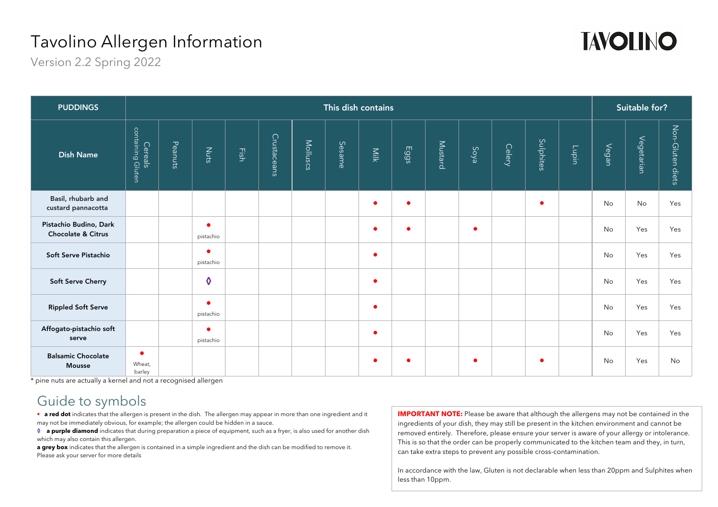

Version 2.2 Spring 2022

| <b>PUDDINGS</b>                              | This dish contains            |         |                        |      |             |          |        |           |           |         |           |        |           |       | Suitable for? |            |                     |  |
|----------------------------------------------|-------------------------------|---------|------------------------|------|-------------|----------|--------|-----------|-----------|---------|-----------|--------|-----------|-------|---------------|------------|---------------------|--|
| <b>Dish Name</b>                             | containing Gluten<br>Cereals  | Peanuts | Nuts                   | Eish | Crustaceans | Molluscs | Sesame | Milk      | Eggs      | Mustard | Soya      | Celery | Sulphites | Lupin | Vegan         | Vegetarian | Non-Gluten<br>diets |  |
| Basil, rhubarb and<br>custard pannacotta     |                               |         |                        |      |             |          |        | $\bullet$ | $\bullet$ |         |           |        |           |       | No            | No         | Yes                 |  |
| Pistachio Budino, Dark<br>Chocolate & Citrus |                               |         | $\bullet$<br>pistachio |      |             |          |        | $\bullet$ | $\bullet$ |         | $\bullet$ |        |           |       | <b>No</b>     | Yes        | Yes                 |  |
| Soft Serve Pistachio                         |                               |         | $\bullet$<br>pistachio |      |             |          |        |           |           |         |           |        |           |       | No            | Yes        | Yes                 |  |
| <b>Soft Serve Cherry</b>                     |                               |         | $\ddot{\mathbf{0}}$    |      |             |          |        | $\bullet$ |           |         |           |        |           |       | <b>No</b>     | Yes        | Yes                 |  |
| <b>Rippled Soft Serve</b>                    |                               |         | $\bullet$<br>pistachio |      |             |          |        | $\bullet$ |           |         |           |        |           |       | <b>No</b>     | Yes        | Yes                 |  |
| Affogato-pistachio soft<br>serve             |                               |         | ٠<br>pistachio         |      |             |          |        | $\bullet$ |           |         |           |        |           |       | No            | Yes        | Yes                 |  |
| <b>Balsamic Chocolate</b><br><b>Mousse</b>   | $\bullet$<br>Wheat,<br>barley |         |                        |      |             |          |        |           |           |         | ٠         |        | c         |       | <b>No</b>     | Yes        | No                  |  |

\* pine nuts are actually a kernel and not a recognised allergen

#### Guide to symbols

• **a red dot** indicates that the allergen is present in the dish. The allergen may appear in more than one ingredient and it may not be immediately obvious, for example; the allergen could be hidden in a sauce.

**! a purple diamond** indicates that during preparation a piece of equipment, such as a fryer, is also used for another dish which may also contain this allergen.

**a grey box** indicates that the allergen is contained in a simple ingredient and the dish can be modified to remove it. Please ask your server for more details

**IMPORTANT NOTE:** Please be aware that although the allergens may not be contained in the ingredients of your dish, they may still be present in the kitchen environment and cannot be removed entirely. Therefore, please ensure your server is aware of your allergy or intolerance. This is so that the order can be properly communicated to the kitchen team and they, in turn, can take extra steps to prevent any possible cross-contamination.